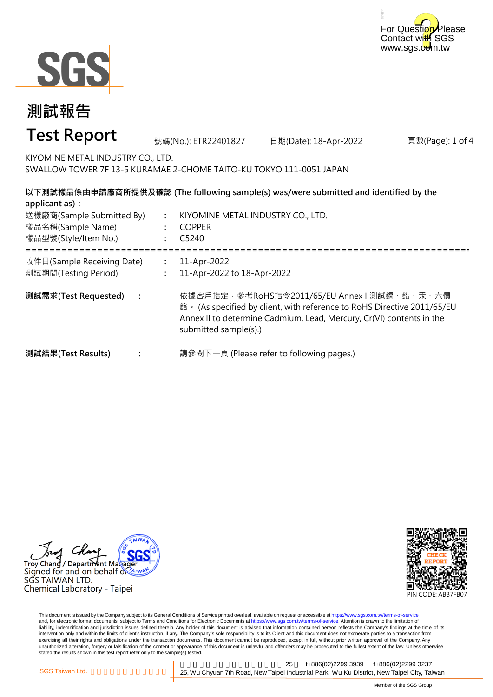



#### 頁數(Page): 1 of 4 **: : :** ===================================================================================================== **: : : 測試需求(Test Requested) :** 11-Apr-2022 11-Apr-2022 to 18-Apr-2022 依據客戶指定,參考RoHS指令2011/65/EU Annex II測試鎘、鉛、汞、六價 鉻。 (As specified by client, with reference to RoHS Directive 2011/65/EU Annex II to determine Cadmium, Lead, Mercury, Cr(VI) contents in the submitted sample(s).) 請參閱下一頁 (Please refer to following pages.) **以下測試樣品係由申請廠商所提供及確認 (The following sample(s) was/were submitted and identified by the applicant as):** KIYOMINE METAL INDUSTRY CO., LTD. COPPER C5240 **測試結果(Test Results)** 樣品名稱(Sample Name) 樣品型號(Style/Item No.) 送樣廠商(Sample Submitted By) 收件日(Sample Receiving Date) 測試期間(Testing Period) 號碼(No.): ETR22401827 日期(Date): 18-Apr-2022 **測試報告 Test Report** KIYOMINE METAL INDUSTRY CO., LTD. SWALLOW TOWER 7F 13-5 KURAMAE 2-CHOME TAITO-KU TOKYO 111-0051 JAPAN

Troy Chang / Department Maka Signed for and on behalf  $\delta$ SGS TAIWAN LTD. Chemical Laboratory - Taipei



This document is issued by the Company subject to its General Conditions of Service printed overleaf, available on request or accessible at https://www.sgs.com.tw/terms-of-service and, for electronic format documents, subject to Terms and Conditions for Electronic Documents at https://www.sgs.com.tw/terms-of-service. Attention is drawn to the limitation of liability, indemnification and jurisdiction issues defined therein. Any holder of this document is advised that information contained hereon reflects the Company's findings at the time of its intervention only and within the limits of client's instruction, if any. The Company's sole responsibility is to its Client and this document does not exonerate parties to a transaction from exercising all their rights and obligations under the transaction documents. This document cannot be reproduced, except in full, without prior written approval of the Company. Any<br>unauthorized alteration, forgery or falsif stated the results shown in this test report refer only to the sample(s) tested.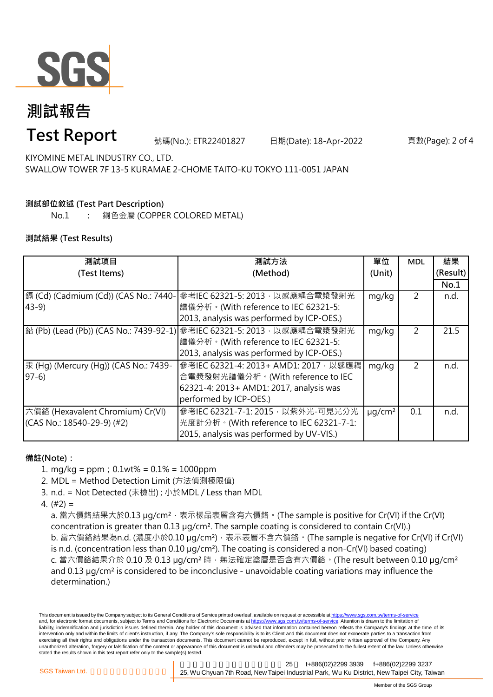

# **測試報告**

### **Test Report**

號碼(No.): ETR22401827 日期(Date): 18-Apr-2022 頁數(Page): 2 of 4

KIYOMINE METAL INDUSTRY CO., LTD. SWALLOW TOWER 7F 13-5 KURAMAE 2-CHOME TAITO-KU TOKYO 111-0051 JAPAN

### **測試部位敘述 (Test Part Description)**

No.1 **:** 銅色金屬 (COPPER COLORED METAL)

#### **測試結果 (Test Results)**

| 測試項目                                  | 測試方法                                                                   | 單位                      | <b>MDL</b>     | 結果       |
|---------------------------------------|------------------------------------------------------------------------|-------------------------|----------------|----------|
| (Test Items)                          | (Method)                                                               | (Unit)                  |                | (Result) |
|                                       |                                                                        |                         |                | No.1     |
| 鎘 (Cd) (Cadmium (Cd)) (CAS No.: 7440- | 參考IEC 62321-5: 2013, 以感應耦合電漿發射光                                        | mg/kg                   | 2              | n.d.     |
| $43-9$                                | 譜儀分析。(With reference to IEC 62321-5:                                   |                         |                |          |
|                                       | 2013, analysis was performed by ICP-OES.)                              |                         |                |          |
|                                       | 鉛 (Pb) (Lead (Pb)) (CAS No.: 7439-92-1) 參考IEC 62321-5: 2013,以感應耦合電漿發射光 | mg/kg                   | $\overline{2}$ | 21.5     |
|                                       | 譜儀分析。(With reference to IEC 62321-5:                                   |                         |                |          |
|                                       | 2013, analysis was performed by ICP-OES.)                              |                         |                |          |
| 汞 (Hg) (Mercury (Hg)) (CAS No.: 7439- | 參考IEC 62321-4: 2013+ AMD1: 2017, 以感應耦                                  | mg/kg                   | 2              | n.d.     |
| $97-6$                                | 合電漿發射光譜儀分析。(With reference to IEC                                      |                         |                |          |
|                                       | 62321-4: 2013+ AMD1: 2017, analysis was                                |                         |                |          |
|                                       | performed by ICP-OES.)                                                 |                         |                |          |
| 六價鉻 (Hexavalent Chromium) Cr(VI)      | 參考IEC 62321-7-1: 2015, 以紫外光-可見光分光                                      | $\mu$ g/cm <sup>2</sup> | 0.1            | n.d.     |
| (CAS No.: 18540-29-9) (#2)            | 光度計分析。(With reference to IEC 62321-7-1:                                |                         |                |          |
|                                       | 2015, analysis was performed by UV-VIS.)                               |                         |                |          |

#### **備註(Note):**

1. mg/kg = ppm;0.1wt% = 0.1% = 1000ppm

2. MDL = Method Detection Limit (方法偵測極限值)

- 3. n.d. = Not Detected (未檢出) ; 小於MDL / Less than MDL
- 4. (#2) =

a. 當六價鉻結果大於0.13 μg/cm<sup>2</sup>,表示樣品表層含有六價鉻。(The sample is positive for Cr(VI) if the Cr(VI) concentration is greater than 0.13 µg/cm². The sample coating is considered to contain Cr(VI).) b. 當六價鉻結果為n.d. (濃度小於0.10 μg/cm<sup>2</sup>), 表示表層不含六價鉻。(The sample is negative for Cr(VI) if Cr(VI) is n.d. (concentration less than 0.10 µg/cm²). The coating is considered a non-Cr(VI) based coating) c. 當六價鉻結果介於 0.10 及 0.13 µg/cm² 時,無法確定塗層是否含有六價鉻。(The result between 0.10 µg/cm² and 0.13 µg/cm² is considered to be inconclusive - unavoidable coating variations may influence the determination.)

This document is issued by the Company subject to its General Conditions of Service printed overleaf, available on request or accessible at https://www.sgs.com.tw/terms-of-service and, for electronic format documents, subject to Terms and Conditions for Electronic Documents at https://www.sgs.com.tw/terms-of-service. Attention is drawn to the limitation of liability, indemnification and jurisdiction issues defined therein. Any holder of this document is advised that information contained hereon reflects the Company's findings at the time of its intervention only and within the limits of client's instruction, if any. The Company's sole responsibility is to its Client and this document does not exonerate parties to a transaction from exercising all their rights and obligations under the transaction documents. This document cannot be reproduced, except in full, without prior written approval of the Company. Any unauthorized alteration, forgery or falsification of the content or appearance of this document is unlawful and offenders may be prosecuted to the fullest extent of the law. Unless otherwise stated the results shown in this test report refer only to the sample(s) tested.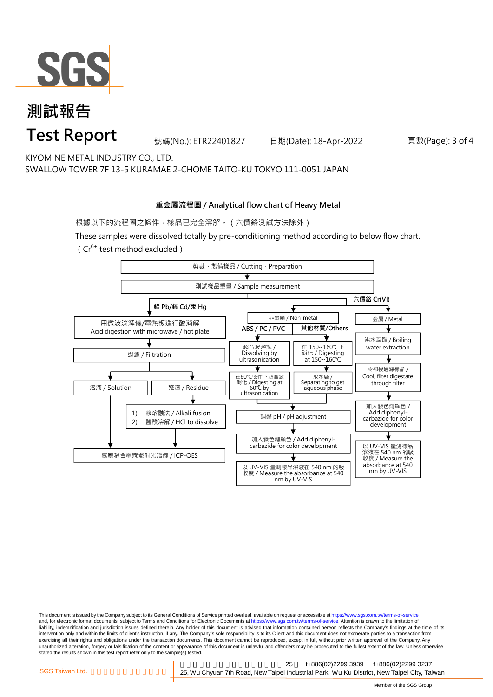

## **測試報告 Test Report**

號碼(No.): ETR22401827 日期(Date): 18-Apr-2022 頁數(Page): 3 of 4

KIYOMINE METAL INDUSTRY CO., LTD. SWALLOW TOWER 7F 13-5 KURAMAE 2-CHOME TAITO-KU TOKYO 111-0051 JAPAN

#### **重金屬流程圖 / Analytical flow chart of Heavy Metal**

根據以下的流程圖之條件,樣品已完全溶解。(六價鉻測試方法除外)

These samples were dissolved totally by pre-conditioning method according to below flow chart. ( $Cr^{6+}$  test method excluded)



This document is issued by the Company subject to its General Conditions of Service printed overleaf, available on request or accessible at https://www.sgs.com.tw/terms-of-service and, for electronic format documents, subject to Terms and Conditions for Electronic Documents at https://www.sgs.com.tw/terms-of-service. Attention is drawn to the limitation of liability, indemnification and jurisdiction issues defined therein. Any holder of this document is advised that information contained hereon reflects the Company's findings at the time of its intervention only and within the limits of client's instruction, if any. The Company's sole responsibility is to its Client and this document does not exonerate parties to a transaction from exercising all their rights and obligations under the transaction documents. This document cannot be reproduced, except in full, without prior written approval of the Company. Any<br>unauthorized alteration, forgery or falsif stated the results shown in this test report refer only to the sample(s) tested.